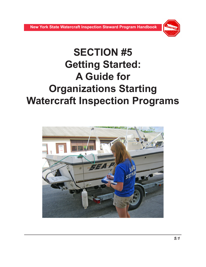

# **SECTION #5 Getting Started: A Guide for Organizations Starting Watercraft Inspection Programs**

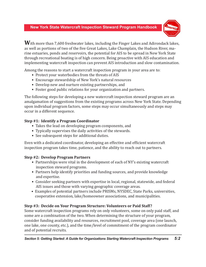

**W**ith more than 7,600 freshwater lakes, including the Finger Lakes and Adirondack lakes, as well as portions of two of the five Great Lakes, Lake Champlain, the Hudson River, marine estuaries, ponds and reservoirs, the potential for AIS to be spread in New York State through recreational boating is of high concern. Being proactive with AIS education and implementing watercraft inspection can prevent AIS introduction and slow contamination.

Among the reasons to start a watercraft inspection program in your area are to:

- Protect your waterbodies from the threats of AIS
- Encourage stewardship of New York's natural resources
- Develop new and nurture existing partnerships, and
- Foster good public relations for your organization and partners.

The following steps for developing a new watercraft inspection steward program are an amalgamation of suggestions from the existing programs across New York State. Depending upon individual program factors, some steps may occur simultaneously and steps may occur in a different sequence.

# **Step #1: Identify a Program Coordinator**

- Takes the lead on developing program components, and
- Typically supervises the daily activities of the stewards.
- See subsequent steps for additional duties.

Even with a dedicated coordinator, developing an effective and efficient watercraft inspection program takes time, patience, and the ability to reach out to partners.

# **Step #2: Develop Program Partners**

- Partnerships were vital in the development of each of NY's existing watercraft inspection steward programs.
- Partners help identify priorities and funding sources, and provide knowledge and expertise.
- Consider seeking partners with expertise in local, regional, statewide, and federal AIS issues and those with varying geographic coverage areas.
- Examples of potential partners include PRISMs, NYSDEC, State Parks, universities, cooperative extension, lake/homeowner associations, and municipalities.

# **Step #3: Decide on Your Program Structure: Volunteers or Paid Staff?**

Some watercraft inspection programs rely on only volunteers, some on only paid staff, and some are a combination of the two. When determining the structure of your program, consider funding availability and resources, recruitment pool, coverage area (one launch, one lake, one county, etc.), and the time/level of commitment of the program coordinator and of potential recruits.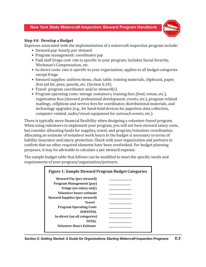

#### **Step #4: Develop a Budget**

Expenses associated with the implementation of a watercraft inspection program include:

- Steward pay: hourly, per steward
- Program management: coordinator pay
- Paid staff fringe cost: rate is specific to your program; includes Social Security, Workman's Compensation, etc.
- In-direct costs: rate is specific to your organization; applies to all budget categories except fringe
- Steward supplies: uniform items, chair, table, training materials, clipboard, paper, first aid kit, pens, pencils, etc. (Section 6:10)
- Travel: program coordinator and/or steward(s)
- Program operating costs: storage containers, training fees (food, venue, etc.), registration fees (steward professional development, events, etc.), program-related mailings, cellphone and service fees for coordinator, distributional materials, and technology upgrades (e.g., for hand-held devices for paperless data collection, computer-related, audio/visual equipment for outreach events, etc.).

There is typically more financial flexibility when designing a volunteer-based program. When using volunteers to implement your program, you will not have steward salary costs, but consider allocating funds for supplies, travel, and program/volunteer coordination. Allocating an estimate of volunteer work hours in the budget is necessary in terms of liability insurance and injury protection. Check with your organization and partners to confirm that no other required elements have been overlooked. For budget planning purposes, it may be advisable to calculate a per steward expense.

The sample budget table that follows can be modified to meet the specific needs and requirements of your program/organization/partners.

| Steward Pay (per steward)             |  |
|---------------------------------------|--|
| <b>Program Management (pay)</b>       |  |
| Fringe (on salary only)               |  |
| Volunteer hours estimate              |  |
| <b>Steward Supplies (per steward)</b> |  |
| <b>Travel</b>                         |  |
| <b>Program Operating Costs</b>        |  |
| <b>SUBTOTAL</b>                       |  |
| In-direct (on all categories)         |  |
| TOTAL                                 |  |
| <i>Volunteer Hours Estimate</i>       |  |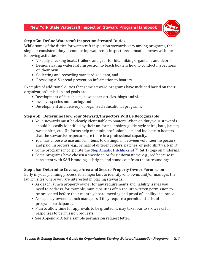

## **Step #5a: Define Watercraft Inspection Steward Duties**

While some of the duties for watercraft inspection stewards vary among programs, the singular consistent duty is conducting watercraft inspections at boat launches with the following activities:

- Visually checking boats, trailers, and gear for hitchhiking organisms and debris
- Demonstrating watercraft inspection to teach boaters how to conduct inspections on their own
- Collecting and recording standardized data, and
- Providing AIS spread prevention information to boaters.

Examples of additional duties that some steward programs have included based on their organization's mission and goals are:

- Development of fact sheets, newspaper articles, blogs and videos
- Invasive species monitoring, and
- Development and delivery of organized educational programs.

# **Step #5b: Determine How Your Steward/Inspectors Will Be Recognizable**

- Your stewards must be clearly identifiable to boaters. When on duty your stewards should be easily identified by their uniforms: t-shirts, guide-style shirts, hats, jackets, sweatshirts, etc. Uniforms help maintain professionalism and indicate to boaters that the stewards/inspectors are there in a professional capacity.
- You may choose to use uniform items to distinguish between volunteer inspectors and paid inspectors, e.g., by hats of different colors, patches, or polo shirt vs. t-shirt.
- Some programs incorporate the **[Stop Aquatic Hitchhikers!](http://www.protectyourwaters.net/)**<sup>TM</sup> (SAH) logo on uniforms.
- Some programs have chosen a specifc color for uniform items, e.g., red because it consistent with SAH branding, is bright, and stands out from the surroundings.

## **Step #6a: Determine Coverage Area and Secure Property Owner Permission**

Early in your planning process, it is important to identify who owns and/or manages the launch sites where you are interested in placing stewards.

- Ask each launch property owner for any requirements and liability issues you need to address, for example, municipalities often require written permission to be presented before their monthly board meeting and proof of liability insurance.
- Ask agency-owned launch managers if they require a permit and a list of program participants.
- Plan to allow time for approvals to be granted; it may take four to six weeks for responses to permission requests.
- See Appendix D. for a sample permission request letter.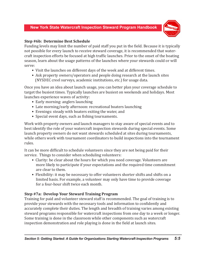

## **Step #6b: Determine Best Schedule**

Funding levels may limit the number of paid staff you put in the field. Because it is typically not possible for every launch to receive steward coverage, it is recommended that watercraft inspection efforts be focused at high traffic launches. Prior to the onset of the boating season, learn about the usage patterns of the launches where your stewards could or will serve:

- Visit the launches on different days of the week and at different times.
- Ask property owners/operators and people doing research at the launch sites (NYSDEC creel surveys, academic institutions, etc.) for usage data.

Once you have an idea about launch usage, you can better plan your coverage schedule to target the busiest times. Typically launches are busiest on weekends and holidays. Most launches experience waves of activity:

- Early morning: anglers launching
- Late morning/early afternoon: recreational boaters launching
- Evenings: steady with boaters exiting the water, and
- Special event days, such as fishing tournaments.

Work with property owners and launch managers to stay aware of special events and to best identify the role of your watercraft inspection stewards during special events. Some launch property owners do not want stewards scheduled at sites during tournaments, while others work with tournament coordinators to build inspections into the tournament rules.

It can be more difficult to schedule volunteers since they are not being paid for their service. Things to consider when scheduling volunteers:

- Clarity: be clear about the hours for which you need coverage. Volunteers are more likely to participate if your expectations and the required time commitment are clear to them.
- Flexibility: it may be necessary to offer volunteers shorter shifts and shifts on a limited basis. For example, a volunteer may only have time to provide coverage for a four-hour shift twice each month.

## **Step #7a: Develop Your Steward Training Program**

Training for paid and volunteer steward staff is recommended. The goal of training is to provide your stewards with the necessary tools and information to confidently and accurately complete their duties. The length and breadth of training varies among existing steward programs responsible for watercraft inspections from one day to a week or longer. Some training is done in the classroom while other components such as watercraft inspection demonstration and role playing is done in the field at launch sites.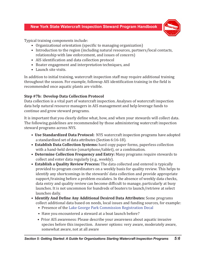

Typical training components include:

- Organizational orientation (specific to managing organization)
- Introduction to the region (including natural resources, partners/local contacts, relationship with law enforcement, and issues of concern)
- AIS identification and data collection protocol
- Boater engagement and interpretation techniques, and
- Launch site visits.

In addition to initial training, watercraft inspection staff may require additional training throughout the season. For example, followup AIS identification training in the field is recommended once aquatic plants are visible.

# **Step #7b: Develop Data Collection Protocol**

Data collection is a vital part of watercraft inspection. Analyses of watercraft inspection data help natural resource managers in AIS management and help leverage funds to continue and grow steward programs.

It is important that you clearly define what, how, and when your stewards will collect data. The following guidelines are recommended by those administering watercraft inspection steward programs across NYS.

- **Use Standardized Data Protocol:** NYS watercraft inspection programs have adopted a standardized set of data attributes (Section 6:16-18).
- **Establish Data Collection Systems:** hard copy paper forms, paperless collection with a hand-held device (smartphone/tablet), or a combination.
- **Determine Collection Frequency and Entry:** Many programs require stewards to collect and enter data regularly (e.g., weekly).
- **Establish a Quality Review Process:** The data collected and entered is typically provided to program coordinators on a weekly basis for quality review. This helps to identify any shortcomings in the stewards' data collection and provide appropriate support/training before a problem escalates. In the absence of weekly data checks, data entry and quality review can become difficult to manage, particularly at busy launches. It is not uncommon for hundreds of boaters to launch/retrieve at select launches daily.
- **Identify And Define Any Additional Desired Data Attributes:** Some programs collect additional data based on needs, local issues and funding sources, for example:
	- Presence of the [Lake George Park Commission Registration D](http://www.lgpc.state.ny.us/boat_registration.html)ecal
	- Have you encountered a steward at a boat launch before?
	- Prior AIS awareness: Please describe your awareness about aquatic invasive species before this inspection. Answer options: very aware, moderately aware, somewhat aware, not at all aware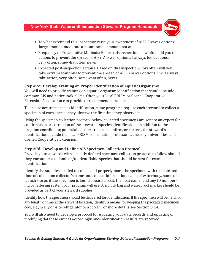

- To what extent did this inspection raise your awareness of AIS? Answer options: large amount, moderate amount, small amount, not at all
- Frequency of Preventative Methods: Before this inspection, how often did you take actions to prevent the spread of AIS? Answer options: I always took actions, very often, somewhat often, never
- Expected post-inspection actions: Based on this inspection, how often will you take extra precautions to prevent the spread of AIS? Answer options: I will always take action, very often, somewhat often, never.

#### **Step #7c: Develop Training on Proper Identification of Aquatic Organisms**

You will need to provide training on aquatic organism identification that should include common AIS and native look-alikes. Often your local PRISM or Cornell Cooperative Extension Association can provide or recommend a trainer.

To ensure accurate species identification, some programs require each steward to collect a specimen of each species they observe the first time they observe it.

Using the specimen collection protocol below, collected specimens are sent to an expert for confirmation or correction of the steward's species identification. In addition to the program coordinator, potential partners that can confirm, or correct, the steward's identification include the local PRISM coordinator, professors at nearby universities, and Cornell Cooperative Extension.

## **Step #7d: Develop and Define AIS Specimen Collection Protocol**

Provide your stewards with a clearly defined specimen collection protocol to follow should they encounter a unfamiliar/unidentifiable species that should be sent for exact identification.

Identify the supplies needed to collect and properly mark the specimen with the date and time of collection; collector's name and contact information, name of waterbody, name of launch site or, if the specimen is found aboard a boat, the boat name; and any ID numbering or lettering system your program will use. A ziplock bag and waterproof marker should be provided as part of your steward supplies.

Identify how the specimen should be delivered for identification. If the specimen will be held for any length of time at the steward location, identify a means for keeping the packaged specimen cool, e.g., in any on-site refrigerator or a cooler. For more details see Section 6:14.

You will also need to develop a protocol for updating your data records and updating or modifying database entries accordingly once identification results are received.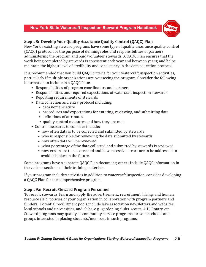

# **Step #8: Develop Your Quality Assurance Quality Control (QAQC) Plan**

New York's existing steward programs have some type of quality assurance quality control (QAQC) protocol for the purpose of defining roles and responsibilities of partners administering the program and paid/volunteer stewards. A QAQC Plan ensures that the work being completed by stewards is consistent each year and between years; and helps maintain the highest level of credibility and consistency in the data collection protocol.

It is recommended that you build QAQC criteria for your watercraft inspection activities, particularly if multiple organizations are overseeing the program. Consider the following information to include in a QAQC Plan:

- Responsibilities of program coordinators and partners
- Responsibilities and required expectations of watercraft inspection stewards
- Reporting requirements of stewards
- Data collection and entry protocol including:
	- data nomenclature
	- procedures and expectations for entering, reviewing, and submitting data
	- definitions of attributes
	- quality control measures and how they are met
- Control measures to consider include:
	- how often data is to be collected and submitted by stewards
	- who is responsible for reviewing the data submitted by stewards
	- how often data will be reviewed
	- what percentage of the data collected and submitted by stewards is reviewed
	- how errors are to be corrected and how excessive errors are to be addressed to avoid mistakes in the future.

Some programs have a separate QAQC Plan document; others include QAQC information in the various sections of their training materials.

If your program includes activities in addition to watercraft inspection, consider developing a QAQC Plan for the comprehensive program.

## **Step #9a: Recruit Steward Program Personnel**

To recruit stewards, learn and apply the advertisement, recruitment, hiring, and human resource (HR) policies of your organization in collaboration with program partners and funders. Potential recruitment pools include lake association newsletters and websites, local schools and universities, and clubs, e.g., gardening clubs, scouts, 4-H, Rotary, etc. Steward programs may qualify as community service programs for some schools and groups interested in placing students/members in such programs.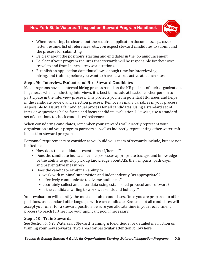

- When recruiting, be clear about the required application documents, e.g., cover letter, resume, list of references, etc., you expect steward candidates to submit and the process for submitting.
- Be clear about the position's starting and end dates in the job announcement.
- Be clear if your program requires that stewards will be responsible for their own travel to and from launch sites/work stations.
- Establish an application date that allows enough time for interviewing, hiring, and training before you want to have stewards active at launch sites.

# **Step #9b: Interview, Evaluate and Hire Steward Candidates**

Most programs have an internal hiring process based on the HR policies of their organization. In general, when conducting interviews it is best to include at least one other person to participate in the interview process. This protects you from potential HR issues and helps in the candidate review and selection process. Remove as many variables in your process as possible to assure a fair and equal process for all candidates. Using a standard set of interview questions helps frame and focus candidate evaluation. Likewise, use a standard set of questions to check candidates' references.

When considering candidates, remember your stewards will directly represent your organization and your program partners as well as indirectly representing other watercraft inspection steward programs.

Personnel requirements to consider as you build your team of stewards include, but are not limited to:

- How does the candidate present himself/herself?
- Does the candidate indicate he/she possesses appropriate background knowledge or the ability to quickly pick up knowledge about AIS, their impacts, pathways, and preventative measures?
- Does the candidate exhibit an ability to:
	- work with minimal supervision and independently (as appropriate)?
	- effectively communicate to diverse audiences?
	- accurately collect and enter data using established protocol and software?
	- is the candidate willing to work weekends and holidays?

Your evaluation will identify the most desirable candidates. Once you are prepared to offer positions, use standard offer language with each candidate. Because not all candidates will accept your offer for a steward position, be sure you allocate time in your recruitment process to reach further into your applicant pool if necessary.

## **Step #10: Train Stewards**

See Section 6: NYS Watercraft Steward Training & Field Guide for detailed instruction on training your new stewards. Two areas for particular attention follow here.